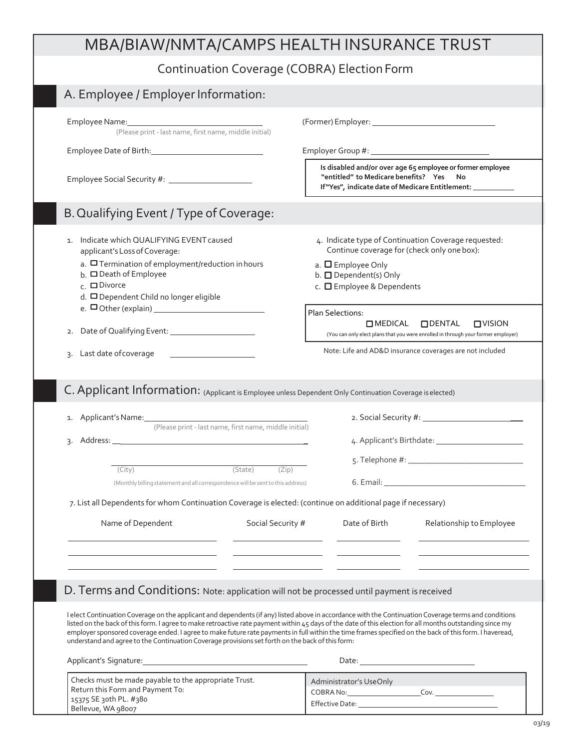## MBA/BIAW/NMTA/CAMPS HEALTH INSURANCE TRUST

## Continuation Coverage (COBRA) ElectionForm

| Continuation Coverage (CODINA) Liection Form                                                                                                                                                                                                                                                                                                                                                                                                                                                                                                                                     |                                                                                                                                                                             |                  |
|----------------------------------------------------------------------------------------------------------------------------------------------------------------------------------------------------------------------------------------------------------------------------------------------------------------------------------------------------------------------------------------------------------------------------------------------------------------------------------------------------------------------------------------------------------------------------------|-----------------------------------------------------------------------------------------------------------------------------------------------------------------------------|------------------|
| A. Employee / Employer Information:                                                                                                                                                                                                                                                                                                                                                                                                                                                                                                                                              |                                                                                                                                                                             |                  |
| (Please print - last name, first name, middle initial)                                                                                                                                                                                                                                                                                                                                                                                                                                                                                                                           |                                                                                                                                                                             |                  |
|                                                                                                                                                                                                                                                                                                                                                                                                                                                                                                                                                                                  |                                                                                                                                                                             |                  |
|                                                                                                                                                                                                                                                                                                                                                                                                                                                                                                                                                                                  | Is disabled and/or over age 65 employee or former employee<br>"entitled" to Medicare benefits?    Yes<br>No<br>If "Yes", indicate date of Medicare Entitlement: ___________ |                  |
| B. Qualifying Event / Type of Coverage:                                                                                                                                                                                                                                                                                                                                                                                                                                                                                                                                          |                                                                                                                                                                             |                  |
| Indicate which QUALIFYING EVENT caused<br>1.<br>applicant's Loss of Coverage:<br>a. $\Box$ Termination of employment/reduction in hours<br>$b.$ $\square$ Death of Employee                                                                                                                                                                                                                                                                                                                                                                                                      | 4. Indicate type of Continuation Coverage requested:<br>Continue coverage for (check only one box):<br>a. $\square$ Employee Only<br>b. ODependent(s) Only                  |                  |
| $c.$ $\square$ Divorce<br>d. □ Dependent Child no longer eligible<br>e. $\Box$ Other (explain) $\_\_\_\_\_\_\_\_\_\_\_\_\_\_\_\_\_\_\_\_\_\_$                                                                                                                                                                                                                                                                                                                                                                                                                                    | c. <b>O</b> Employee & Dependents<br>Plan Selections:                                                                                                                       |                  |
| 2.                                                                                                                                                                                                                                                                                                                                                                                                                                                                                                                                                                               | <b>OMEDICAL</b><br><b>ODENTAL</b><br>(You can only elect plans that you were enrolled in through your former employer)                                                      | $\square$ VISION |
| Last date of coverage<br>3.                                                                                                                                                                                                                                                                                                                                                                                                                                                                                                                                                      | Note: Life and AD&D insurance coverages are not included                                                                                                                    |                  |
| 1. Applicant's Name: 1. 2008<br>(Please print - last name, first name, middle initial)                                                                                                                                                                                                                                                                                                                                                                                                                                                                                           |                                                                                                                                                                             |                  |
|                                                                                                                                                                                                                                                                                                                                                                                                                                                                                                                                                                                  |                                                                                                                                                                             |                  |
| (State)<br>(City)<br>(Monthly billing statement and all correspondence will be sent to this address)                                                                                                                                                                                                                                                                                                                                                                                                                                                                             | (Zip)                                                                                                                                                                       |                  |
| 7. List all Dependents for whom Continuation Coverage is elected: (continue on additional page if necessary)                                                                                                                                                                                                                                                                                                                                                                                                                                                                     |                                                                                                                                                                             |                  |
| Name of Dependent                                                                                                                                                                                                                                                                                                                                                                                                                                                                                                                                                                | Social Security # Date of Birth<br>Relationship to Employee                                                                                                                 |                  |
|                                                                                                                                                                                                                                                                                                                                                                                                                                                                                                                                                                                  |                                                                                                                                                                             |                  |
|                                                                                                                                                                                                                                                                                                                                                                                                                                                                                                                                                                                  |                                                                                                                                                                             |                  |
| D. Terms and Conditions: Note: application will not be processed until payment is received                                                                                                                                                                                                                                                                                                                                                                                                                                                                                       |                                                                                                                                                                             |                  |
| I elect Continuation Coverage on the applicant and dependents (if any) listed above in accordance with the Continuation Coverage terms and conditions<br>listed on the back of this form. I agree to make retroactive rate payment within 45 days of the date of this election for all months outstanding since my<br>employer sponsored coverage ended. I agree to make future rate payments in full within the time frames specified on the back of this form. I haveread,<br>understand and agree to the Continuation Coverage provisions set forth on the back of this form: |                                                                                                                                                                             |                  |
|                                                                                                                                                                                                                                                                                                                                                                                                                                                                                                                                                                                  |                                                                                                                                                                             |                  |
| Checks must be made payable to the appropriate Trust.<br>Return this Form and Payment To:                                                                                                                                                                                                                                                                                                                                                                                                                                                                                        | Administrator's UseOnly<br>COBRA No: COBRA No: COV.                                                                                                                         |                  |